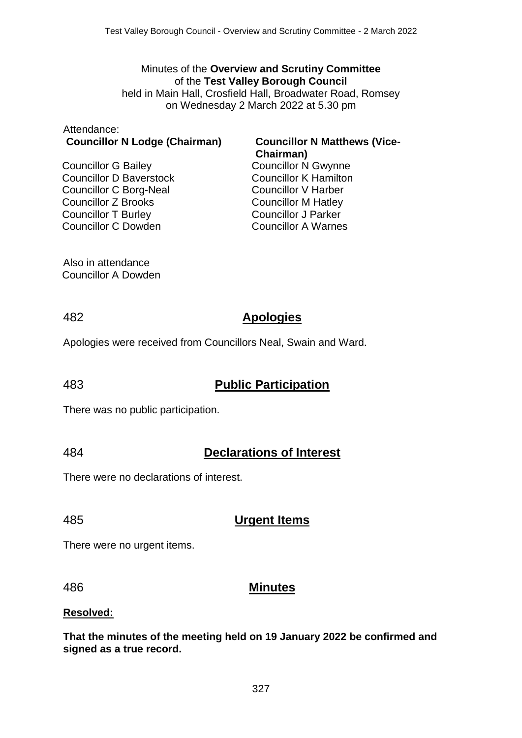#### Minutes of the **Overview and Scrutiny Committee** of the **Test Valley Borough Council**

held in Main Hall, Crosfield Hall, Broadwater Road, Romsey on Wednesday 2 March 2022 at 5.30 pm

#### Attendance: **Councillor N Lodge (Chairman) Councillor N Matthews (Vice-**

Councillor G Bailey Councillor D Baverstock Councillor C Borg-Neal Councillor Z Brooks Councillor T Burley Councillor C Dowden

# **Chairman)** Councillor N Gwynne

Councillor K Hamilton Councillor V Harber Councillor M Hatley Councillor J Parker Councillor A Warnes

Also in attendance Councillor A Dowden

## 482 **Apologies**

Apologies were received from Councillors Neal, Swain and Ward.

## 483 **Public Participation**

There was no public participation.

## 484 **Declarations of Interest**

There were no declarations of interest.

## 485 **Urgent Items**

There were no urgent items.

## 486 **Minutes**

#### **Resolved:**

**That the minutes of the meeting held on 19 January 2022 be confirmed and signed as a true record.**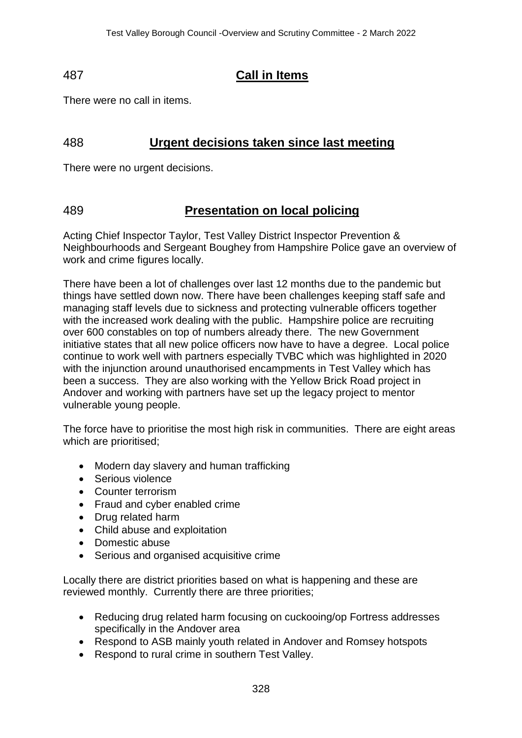## 487 **Call in Items**

There were no call in items.

## 488 **Urgent decisions taken since last meeting**

There were no urgent decisions.

## 489 **Presentation on local policing**

Acting Chief Inspector Taylor, Test Valley District Inspector Prevention & Neighbourhoods and Sergeant Boughey from Hampshire Police gave an overview of work and crime figures locally.

There have been a lot of challenges over last 12 months due to the pandemic but things have settled down now. There have been challenges keeping staff safe and managing staff levels due to sickness and protecting vulnerable officers together with the increased work dealing with the public. Hampshire police are recruiting over 600 constables on top of numbers already there. The new Government initiative states that all new police officers now have to have a degree. Local police continue to work well with partners especially TVBC which was highlighted in 2020 with the injunction around unauthorised encampments in Test Valley which has been a success. They are also working with the Yellow Brick Road project in Andover and working with partners have set up the legacy project to mentor vulnerable young people.

The force have to prioritise the most high risk in communities. There are eight areas which are prioritised;

- Modern day slavery and human trafficking
- Serious violence
- Counter terrorism
- Fraud and cyber enabled crime
- Drug related harm
- Child abuse and exploitation
- Domestic abuse
- Serious and organised acquisitive crime

Locally there are district priorities based on what is happening and these are reviewed monthly. Currently there are three priorities;

- Reducing drug related harm focusing on cuckooing/op Fortress addresses specifically in the Andover area
- Respond to ASB mainly youth related in Andover and Romsey hotspots
- Respond to rural crime in southern Test Vallev.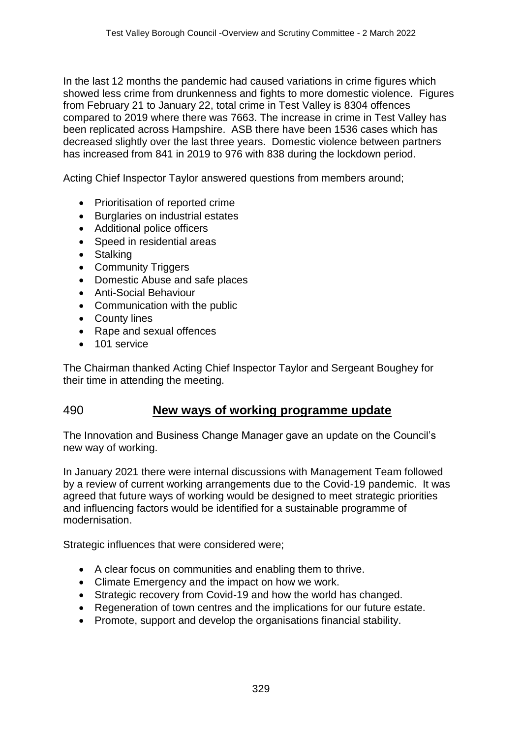In the last 12 months the pandemic had caused variations in crime figures which showed less crime from drunkenness and fights to more domestic violence. Figures from February 21 to January 22, total crime in Test Valley is 8304 offences compared to 2019 where there was 7663. The increase in crime in Test Valley has been replicated across Hampshire. ASB there have been 1536 cases which has decreased slightly over the last three years. Domestic violence between partners has increased from 841 in 2019 to 976 with 838 during the lockdown period.

Acting Chief Inspector Taylor answered questions from members around;

- Prioritisation of reported crime
- Burglaries on industrial estates
- Additional police officers
- Speed in residential areas
- Stalking
- Community Triggers
- Domestic Abuse and safe places
- Anti-Social Behaviour
- Communication with the public
- County lines
- Rape and sexual offences
- 101 service

The Chairman thanked Acting Chief Inspector Taylor and Sergeant Boughey for their time in attending the meeting.

## 490 **New ways of working programme update**

The Innovation and Business Change Manager gave an update on the Council's new way of working.

In January 2021 there were internal discussions with Management Team followed by a review of current working arrangements due to the Covid-19 pandemic. It was agreed that future ways of working would be designed to meet strategic priorities and influencing factors would be identified for a sustainable programme of modernisation.

Strategic influences that were considered were;

- A clear focus on communities and enabling them to thrive.
- Climate Emergency and the impact on how we work.
- Strategic recovery from Covid-19 and how the world has changed.
- Regeneration of town centres and the implications for our future estate.
- Promote, support and develop the organisations financial stability.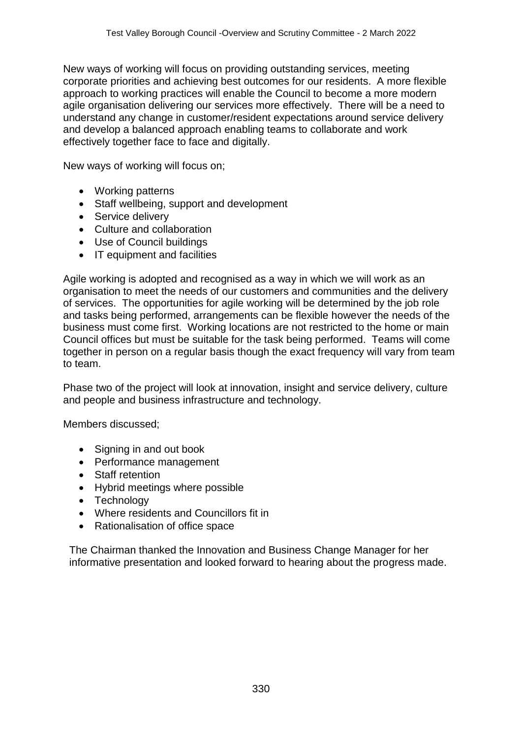New ways of working will focus on providing outstanding services, meeting corporate priorities and achieving best outcomes for our residents. A more flexible approach to working practices will enable the Council to become a more modern agile organisation delivering our services more effectively. There will be a need to understand any change in customer/resident expectations around service delivery and develop a balanced approach enabling teams to collaborate and work effectively together face to face and digitally.

New ways of working will focus on;

- Working patterns
- Staff wellbeing, support and development
- Service delivery
- Culture and collaboration
- Use of Council buildings
- IT equipment and facilities

Agile working is adopted and recognised as a way in which we will work as an organisation to meet the needs of our customers and communities and the delivery of services. The opportunities for agile working will be determined by the job role and tasks being performed, arrangements can be flexible however the needs of the business must come first. Working locations are not restricted to the home or main Council offices but must be suitable for the task being performed. Teams will come together in person on a regular basis though the exact frequency will vary from team to team.

Phase two of the project will look at innovation, insight and service delivery, culture and people and business infrastructure and technology.

Members discussed;

- Signing in and out book
- Performance management
- Staff retention
- Hybrid meetings where possible
- Technology
- Where residents and Councillors fit in
- Rationalisation of office space

The Chairman thanked the Innovation and Business Change Manager for her informative presentation and looked forward to hearing about the progress made.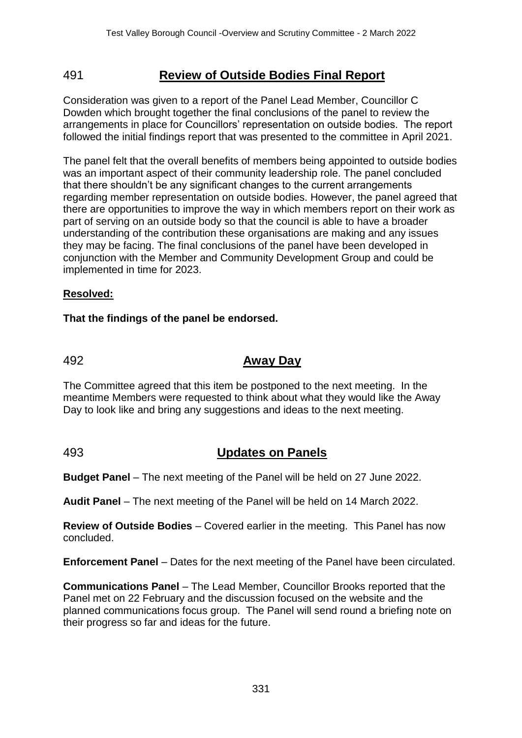## 491 **Review of Outside Bodies Final Report**

Consideration was given to a report of the Panel Lead Member, Councillor C Dowden which brought together the final conclusions of the panel to review the arrangements in place for Councillors' representation on outside bodies. The report followed the initial findings report that was presented to the committee in April 2021.

The panel felt that the overall benefits of members being appointed to outside bodies was an important aspect of their community leadership role. The panel concluded that there shouldn't be any significant changes to the current arrangements regarding member representation on outside bodies. However, the panel agreed that there are opportunities to improve the way in which members report on their work as part of serving on an outside body so that the council is able to have a broader understanding of the contribution these organisations are making and any issues they may be facing. The final conclusions of the panel have been developed in conjunction with the Member and Community Development Group and could be implemented in time for 2023.

### **Resolved:**

### **That the findings of the panel be endorsed.**

## 492 **Away Day**

The Committee agreed that this item be postponed to the next meeting. In the meantime Members were requested to think about what they would like the Away Day to look like and bring any suggestions and ideas to the next meeting.

## 493 **Updates on Panels**

**Budget Panel** – The next meeting of the Panel will be held on 27 June 2022.

**Audit Panel** – The next meeting of the Panel will be held on 14 March 2022.

**Review of Outside Bodies** – Covered earlier in the meeting. This Panel has now concluded.

**Enforcement Panel** – Dates for the next meeting of the Panel have been circulated.

**Communications Panel** – The Lead Member, Councillor Brooks reported that the Panel met on 22 February and the discussion focused on the website and the planned communications focus group. The Panel will send round a briefing note on their progress so far and ideas for the future.